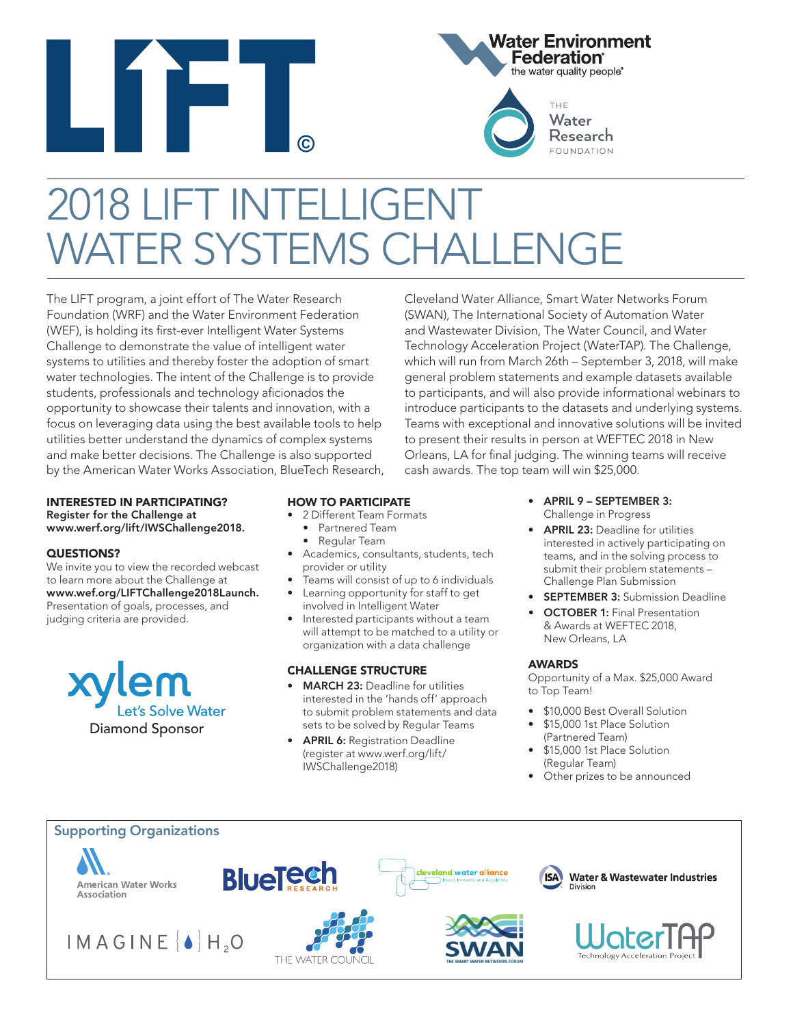



THE Water Research **FOUNDATION** 

Cleveland Water Alliance, Smart Water Networks Forum (SWAN), The International Society of Automation Water and Wastewater Division, The Water Council, and Water Technology Acceleration Project (WaterTAP). The Challenge, which will run from March 26th – September 3, 2018, will make

# 2018 LIFT INTELLIGENT VATER SYSTEMS CHAI

The LIFT program, a joint effort of The Water Research Foundation (WRF) and the Water Environment Federation (WEF), is holding its first-ever Intelligent Water Systems Challenge to demonstrate the value of intelligent water systems to utilities and thereby foster the adoption of smart water technologies. The intent of the Challenge is to provide students, professionals and technology aficionados the opportunity to showcase their talents and innovation, with a focus on leveraging data using the best available tools to help utilities better understand the dynamics of complex systems and make better decisions. The Challenge is also supported by the American Water Works Association, BlueTech Research,

#### INTERESTED IN PARTICIPATING? Register for the Challenge at www.werf.org/lift/IWSChallenge2018.

#### QUESTIONS?

We invite you to view the recorded webcast to learn more about the Challenge at www.wef.org/LIFTChallenge2018Launch. Presentation of goals, processes, and judging criteria are provided.



### HOW TO PARTICIPATE

- 2 Different Team Formats
	- Partnered Team
	- Regular Team
- Academics, consultants, students, tech provider or utility
- Teams will consist of up to 6 individuals
- Learning opportunity for staff to get involved in Intelligent Water
- Interested participants without a team will attempt to be matched to a utility or organization with a data challenge

#### CHALLENGE STRUCTURE

- **MARCH 23: Deadline for utilities** interested in the 'hands off' approach to submit problem statements and data sets to be solved by Regular Teams
- **APRIL 6: Registration Deadline** (register at www.werf.org/lift/ IWSChallenge2018)

general problem statements and example datasets available to participants, and will also provide informational webinars to introduce participants to the datasets and underlying systems. Teams with exceptional and innovative solutions will be invited to present their results in person at WEFTEC 2018 in New Orleans, LA for final judging. The winning teams will receive cash awards. The top team will win \$25,000.

- APRIL 9 SEPTEMBER 3: Challenge in Progress
- APRIL 23: Deadline for utilities interested in actively participating on teams, and in the solving process to submit their problem statements – Challenge Plan Submission
- **SEPTEMBER 3: Submission Deadline**
- **OCTOBER 1: Final Presentation** & Awards at WEFTEC 2018, New Orleans, LA

#### AWARDS

Opportunity of a Max. \$25,000 Award to Top Team!

- \$10,000 Best Overall Solution
- \$15,000 1st Place Solution (Partnered Team)
- \$15,000 1st Place Solution (Regular Team)
- Other prizes to be announced